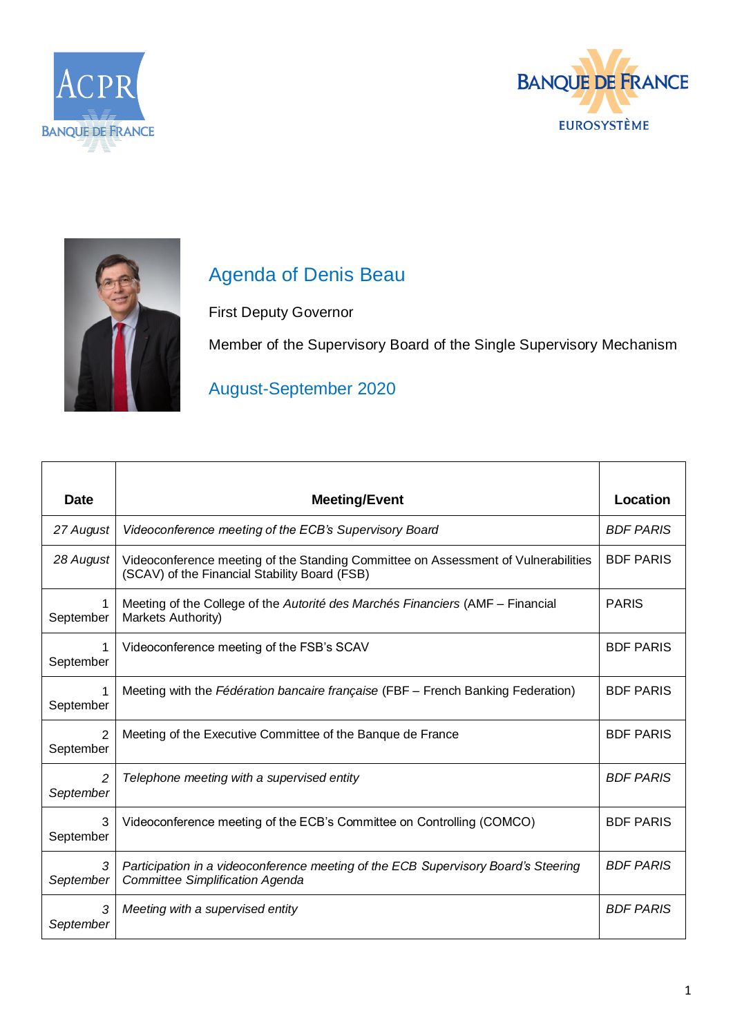





## Agenda of Denis Beau

First Deputy Governor

Member of the Supervisory Board of the Single Supervisory Mechanism

## August-September 2020

| <b>Date</b>                 | <b>Meeting/Event</b>                                                                                                                | Location         |
|-----------------------------|-------------------------------------------------------------------------------------------------------------------------------------|------------------|
| 27 August                   | Videoconference meeting of the ECB's Supervisory Board                                                                              | <b>BDF PARIS</b> |
| 28 August                   | Videoconference meeting of the Standing Committee on Assessment of Vulnerabilities<br>(SCAV) of the Financial Stability Board (FSB) | <b>BDF PARIS</b> |
| September                   | Meeting of the College of the Autorité des Marchés Financiers (AMF - Financial<br>Markets Authority)                                | <b>PARIS</b>     |
| 1<br>September              | Videoconference meeting of the FSB's SCAV                                                                                           | <b>BDF PARIS</b> |
| 1<br>September              | Meeting with the Fédération bancaire française (FBF - French Banking Federation)                                                    | <b>BDF PARIS</b> |
| 2<br>September              | Meeting of the Executive Committee of the Banque de France                                                                          | <b>BDF PARIS</b> |
| $\overline{2}$<br>September | Telephone meeting with a supervised entity                                                                                          | <b>BDF PARIS</b> |
| 3<br>September              | Videoconference meeting of the ECB's Committee on Controlling (COMCO)                                                               | <b>BDF PARIS</b> |
| 3<br>September              | Participation in a videoconference meeting of the ECB Supervisory Board's Steering<br><b>Committee Simplification Agenda</b>        | <b>BDF PARIS</b> |
| 3<br>September              | Meeting with a supervised entity                                                                                                    | <b>BDF PARIS</b> |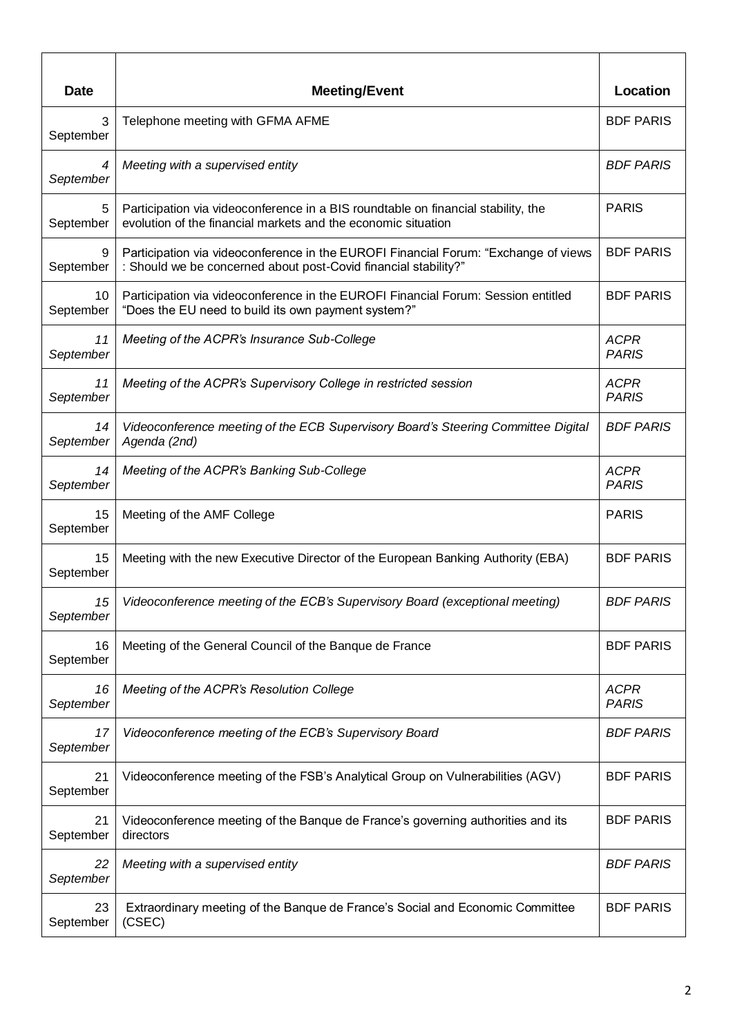| <b>Date</b>                   | <b>Meeting/Event</b>                                                                                                                                   | Location                    |
|-------------------------------|--------------------------------------------------------------------------------------------------------------------------------------------------------|-----------------------------|
| 3<br>September                | Telephone meeting with GFMA AFME                                                                                                                       | <b>BDF PARIS</b>            |
| $\boldsymbol{4}$<br>September | Meeting with a supervised entity                                                                                                                       | <b>BDF PARIS</b>            |
| 5<br>September                | Participation via videoconference in a BIS roundtable on financial stability, the<br>evolution of the financial markets and the economic situation     | <b>PARIS</b>                |
| 9<br>September                | Participation via videoconference in the EUROFI Financial Forum: "Exchange of views<br>: Should we be concerned about post-Covid financial stability?" | <b>BDF PARIS</b>            |
| 10<br>September               | Participation via videoconference in the EUROFI Financial Forum: Session entitled<br>"Does the EU need to build its own payment system?"               | <b>BDF PARIS</b>            |
| 11<br>September               | Meeting of the ACPR's Insurance Sub-College                                                                                                            | <b>ACPR</b><br><b>PARIS</b> |
| 11<br>September               | Meeting of the ACPR's Supervisory College in restricted session                                                                                        | <b>ACPR</b><br><b>PARIS</b> |
| 14<br>September               | Videoconference meeting of the ECB Supervisory Board's Steering Committee Digital<br>Agenda (2nd)                                                      | <b>BDF PARIS</b>            |
| 14<br>September               | Meeting of the ACPR's Banking Sub-College                                                                                                              | <b>ACPR</b><br><b>PARIS</b> |
| 15<br>September               | Meeting of the AMF College                                                                                                                             | <b>PARIS</b>                |
| 15<br>September               | Meeting with the new Executive Director of the European Banking Authority (EBA)                                                                        | <b>BDF PARIS</b>            |
| 15<br>September               | Videoconference meeting of the ECB's Supervisory Board (exceptional meeting)                                                                           | <b>BDF PARIS</b>            |
| 16<br>September               | Meeting of the General Council of the Banque de France                                                                                                 | <b>BDF PARIS</b>            |
| 16<br>September               | Meeting of the ACPR's Resolution College                                                                                                               | <b>ACPR</b><br><b>PARIS</b> |
| 17<br>September               | Videoconference meeting of the ECB's Supervisory Board                                                                                                 | <b>BDF PARIS</b>            |
| 21<br>September               | Videoconference meeting of the FSB's Analytical Group on Vulnerabilities (AGV)                                                                         | <b>BDF PARIS</b>            |
| 21<br>September               | Videoconference meeting of the Banque de France's governing authorities and its<br>directors                                                           | <b>BDF PARIS</b>            |
| 22<br>September               | Meeting with a supervised entity                                                                                                                       | <b>BDF PARIS</b>            |
| 23<br>September               | Extraordinary meeting of the Banque de France's Social and Economic Committee<br>(CSEC)                                                                | <b>BDF PARIS</b>            |